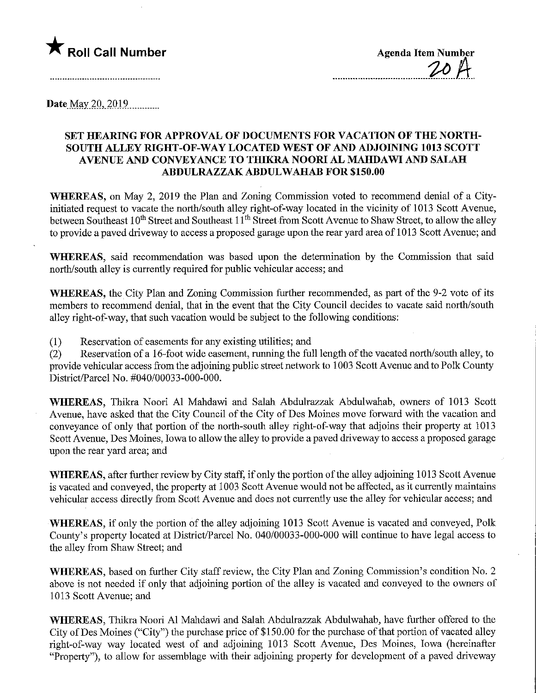

Date May 20,  $2019$ 

## SET HEARING FOR APPROVAL OF DOCUMENTS FOR VACATION OF THE NORTH-SOUTH ALLEY RIGHT-OF-WAY LOCATED WEST OF AND ADJOINING 1013 SCOTT AVENUE AND CONVEYANCE TO THIKRA NOORI AL MAHDAWI AND SALAH ABDULRAZZAKABDULWAHAB FOR \$150.00

WHEREAS, on May 2, 2019 the Plan and Zoning Commission voted to recommend denial of a Cityinitiated request to vacate the north/south alley right-of-way located in the vicinity of 1013 Scott Avenue, between Southeast 10<sup>th</sup> Street and Southeast 11<sup>th</sup> Street from Scott Avenue to Shaw Street, to allow the alley to provide a paved driveway to access a proposed garage upon the rear yard area of 1013 Scott Avenue; and

WHEREAS, said recommendation was based upon the determination by the Commission that said north/south alley is currently required for public vehicular access; and

WHEREAS, the City Plan and Zoning Commission further recommended, as part of the 9-2 vote of its members to recommend denial, that in the event that the City Council decides to vacate said north/south alley right-of-way, that such vacation would be subject to the following conditions:

(1) Reservation of easements for any existing utilities; and

(2) Reservation of a 16-foot wide easement, miming the full length of the vacated north/south alley, to provide vehicular access from the adjoining public street network to 1003 Scott Avenue and to Polk County District/Parcel No. #040/00033-000-000.

WHEREAS, Thikra Noori Al Mahdawi and Salah Abdulrazzak Abdulwahab, owners of 1013 Scott Avenue, have asked that the City Council of the City of Des Moines move forward with the vacation and conveyance of only that portion of the north-south alley right-of-way that adjoins their property at 1013 Scott Avenue, Des Moines, Iowa to allow the alley to provide a paved driveway to access a proposed garage upon the rear yard area; and

WHEREAS, after further review by City staff, if only the portion of the alley adjoining 1013 Scott Avenue is vacated and conveyed, the property at 1003 Scott Avenue would not be affected, as it currently maintains vehicular access directly from Scott Avenue and does not currently use the alley for vehicular access; and

WHEREAS, if only the portion of the alley adjoining 1013 Scott Avenue is vacated and conveyed, Polk County's property located at District/Parcel No. 040/00033-000-000 will continue to have legal access to the alley from Shaw Street; and

WHEREAS, based on further City staff review, the City Plan and Zoning Commission's condition No. 2 above is not needed if only that adjoining portion of the alley is vacated and conveyed to the owners of 1013 Scott Avenue; and

WHEREAS, Thikra Noori Al Mahdawi and Salah Abdulrazzak Abdulwahab, have further offered to the City of Des Moines ("City") the purchase price of \$150.00 for the purchase of that portion of vacated alley right-of-way way located west of and adjoining 1013 Scott Avenue, Des Moines, Iowa (hereinafter "Property"), to allow for assemblage with their adjoining property for development of a paved driveway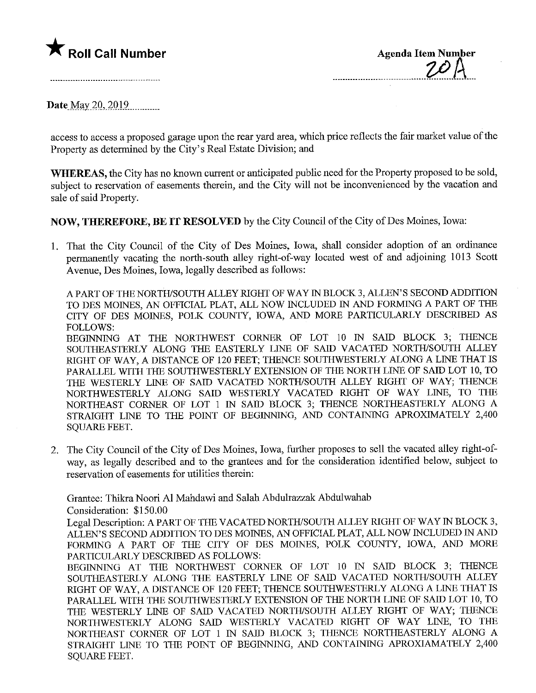

Date May 20, 2019.

access to access a proposed garage upon the rear yard area, which price reflects the fair market value of the Property as determined by the City's Real Estate Division; and

WHEREAS, the City has no known current or anticipated public need for the Property proposed to be sold, subject to reservation of easements therein, and the City will not be inconvenienced by the vacation and sale of said Property.

NOW, THEREFORE, BE IT RESOLVED by the City Council of the City of Des Moines, Iowa:

1. That the City Council of the City of Des Moines, Iowa, shall consider adoption of an ordinance permanently vacating the north-south alley right-of-way located west of and adjoining 1013 Scott Avenue, Des Moines, Iowa, legally described as follows:

A PART OF THE NORTH/SOUTH ALLEY RIGHT OF WAY IN BLOCK 3, ALLEN' S SECOND ADDITION TO DES MOINES, AN OFFICIAL PLAT, ALL NOW INCLUDED IN AND FORMING A PART OF THE CITY OF DES MOINES, POLK COUNTY, IOWA, AND MORE PARTICULARLY DESCRIBED AS FOLLOWS:

BEGINNING AT THE NORTHWEST CORNER OF LOT 10 IN SAID BLOCK 3; THENCE SOUTHEASTERLY ALONG THE EASTERLY LINE OF SAID VACATED NORTH/SOUTH ALLEY RIGHT OF WAY, A DISTANCE OF 120 FEET; THENCE SOUTHWESTERLY ALONG A LINE THAT IS PARALLEL WITH THE SOUTHWESTERLY EXTENSION OF THE NORTH LINE OF SAID LOT 10, TO THE WESTERLY LINE OF SAID VACATED NORTH/SOUTH ALLEY RIGHT OF WAY; THENCE NORTHWESTERLY ALONG SAID WESTERLY VACATED RIGHT OF WAY LINE, TO THE NORTHEAST CORNER OF LOT 1 IN SAID BLOCK 3; THENCE NORTHEASTERLY ALONG A STRAIGHT LINE TO THE POINT OF BEGINNING, AND CONTAINING APROXIMATELY 2,400 SQUARE FEET.

2. The City Council of the City of Des Moines, Iowa, further proposes to sell the vacated alley right-ofway, as legally described and to the grantees and for the consideration identified below, subject to reservation of easements for utilities therein:

Grantee: Thikra Noori Al Mahdawi and Salah Abduh-azzak Abdulwahab Consideration: \$150.00

Legal Description: A PART OP THE VACATED NORTH/SOUTH ALLEY RIGHT OF WAY IN BLOCK 3, ALLEN'S SECOND ADDITION TO DES MOINES, AN OFFICIAL PLAT, ALL NOW INCLUDED IN AND FORMING A PART OF THE CITY OF DES MOINES, POLK COUNTY, IOWA, AND MORE PARTICULARLY DESCRIBED AS FOLLOWS:

BEGINNING AT THE NORTHWEST CORNER OF LOT 10 IN SAID BLOCK 3; THENCE SOUTHEASTERLY ALONG THE EASTERLY LINE OF SAID VACATED NORTH/SOUTH ALLEY RIGHT OF WAY, A DISTANCE OF 120 FEET; THENCE SOUTHWESTERLY ALONG A LmE THAT IS PARALLEL WITH THE SOUTHWESTERLY EXTENSION OF THE NORTH LINE OF SAID LOT 10, TO THE WESTERLY LINE OF SAID VACATED NORTH/SOUTH ALLEY RIGHT OF WAY; THENCE NORTHWESTERLY ALONG SAID WESTERLY VACATED RIGHT OF WAY LINE, TO THE NORTHEAST CORNER OF LOT 1 IN SAID BLOCK 3; THENCE NORTHEASTERLY ALONG A STRAIGHT LINE TO THE POINT OF BEGINNING, AND CONTAINING APROXIAMATELY 2,400 SQUARE FEET.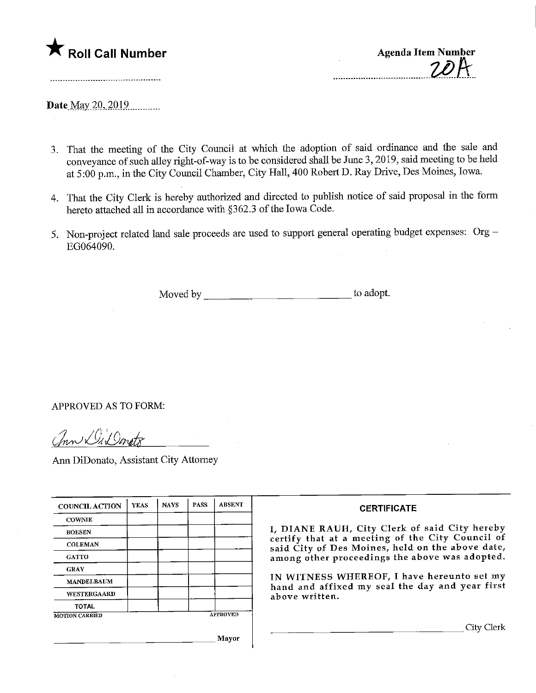

Date May 20, 2019

- 3. That the meeting of the City Council at which the adoption of said ordinance and the sale and conveyance of such alley right-of-way is to be considered shall be June 3,2019, said meeting to be held at 5:00 p.m., in the City Council Chamber, City Hall, 400 Robert D. Ray Drive, Des Moines, Iowa.
- 4. That the City Clerk is hereby authorized and directed to publish notice of said proposal in the form hereto attached all in accordance with §362.3 of the Iowa Code.
- 5. Non-project related land sale proceeds are used to support general operating budget expenses: Org EG064090.

Moved by to adopt.

APPROVED AS TO FORM:

Chn DiDonets

Ann DiDonato, Assistant City Attorney

| <b>COUNCIL ACTION</b> | <b>YEAS</b> | <b>NAYS</b> | <b>PASS</b> | <b>ABSENT</b>   | <b>CERTIFICATE</b>                                                                                                                                                                                                                                                                                                         |
|-----------------------|-------------|-------------|-------------|-----------------|----------------------------------------------------------------------------------------------------------------------------------------------------------------------------------------------------------------------------------------------------------------------------------------------------------------------------|
| <b>COWNIE</b>         |             |             |             |                 | I, DIANE RAUH, City Clerk of said City hereby<br>certify that at a meeting of the City Council of<br>said City of Des Moines, held on the above date,<br>among other proceedings the above was adopted.<br>IN WITNESS WHEREOF, I have hereunto set my<br>hand and affixed my seal the day and year first<br>above written. |
| <b>BOESEN</b>         |             |             |             |                 |                                                                                                                                                                                                                                                                                                                            |
| <b>COLEMAN</b>        |             |             |             |                 |                                                                                                                                                                                                                                                                                                                            |
| <b>GATTO</b>          |             |             |             |                 |                                                                                                                                                                                                                                                                                                                            |
| <b>GRAY</b>           |             |             |             |                 |                                                                                                                                                                                                                                                                                                                            |
| <b>MANDELBAUM</b>     |             |             |             |                 |                                                                                                                                                                                                                                                                                                                            |
| WESTERGAARD           |             |             |             |                 |                                                                                                                                                                                                                                                                                                                            |
| <b>TOTAL</b>          |             |             |             |                 |                                                                                                                                                                                                                                                                                                                            |
| <b>MOTION CARRIED</b> |             |             |             | <b>APPROVED</b> |                                                                                                                                                                                                                                                                                                                            |
|                       |             |             |             |                 | City Clerk                                                                                                                                                                                                                                                                                                                 |
| Mayor                 |             |             |             |                 |                                                                                                                                                                                                                                                                                                                            |